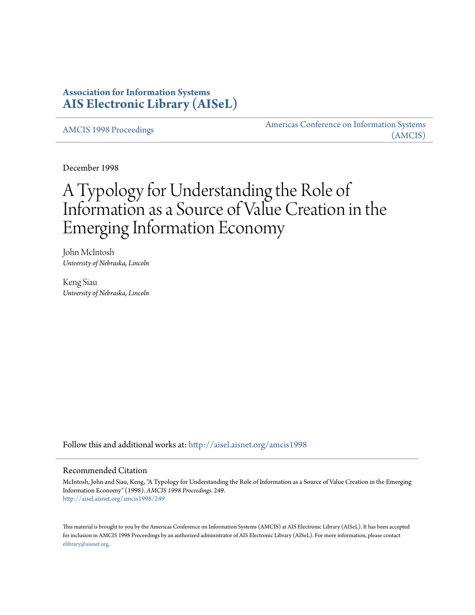## **Association for Information Systems [AIS Electronic Library \(AISeL\)](http://aisel.aisnet.org?utm_source=aisel.aisnet.org%2Famcis1998%2F249&utm_medium=PDF&utm_campaign=PDFCoverPages)**

[AMCIS 1998 Proceedings](http://aisel.aisnet.org/amcis1998?utm_source=aisel.aisnet.org%2Famcis1998%2F249&utm_medium=PDF&utm_campaign=PDFCoverPages)

[Americas Conference on Information Systems](http://aisel.aisnet.org/amcis?utm_source=aisel.aisnet.org%2Famcis1998%2F249&utm_medium=PDF&utm_campaign=PDFCoverPages) [\(AMCIS\)](http://aisel.aisnet.org/amcis?utm_source=aisel.aisnet.org%2Famcis1998%2F249&utm_medium=PDF&utm_campaign=PDFCoverPages)

December 1998

# A Typology for Understanding the Role of Information as a Source of Value Creation in the Emerging Information Economy

John McIntosh *University of Nebraska, Lincoln*

Keng Siau *University of Nebraska, Lincoln*

Follow this and additional works at: [http://aisel.aisnet.org/amcis1998](http://aisel.aisnet.org/amcis1998?utm_source=aisel.aisnet.org%2Famcis1998%2F249&utm_medium=PDF&utm_campaign=PDFCoverPages)

#### Recommended Citation

McIntosh, John and Siau, Keng, "A Typology for Understanding the Role of Information as a Source of Value Creation in the Emerging Information Economy" (1998). *AMCIS 1998 Proceedings*. 249. [http://aisel.aisnet.org/amcis1998/249](http://aisel.aisnet.org/amcis1998/249?utm_source=aisel.aisnet.org%2Famcis1998%2F249&utm_medium=PDF&utm_campaign=PDFCoverPages)

This material is brought to you by the Americas Conference on Information Systems (AMCIS) at AIS Electronic Library (AISeL). It has been accepted for inclusion in AMCIS 1998 Proceedings by an authorized administrator of AIS Electronic Library (AISeL). For more information, please contact [elibrary@aisnet.org.](mailto:elibrary@aisnet.org%3E)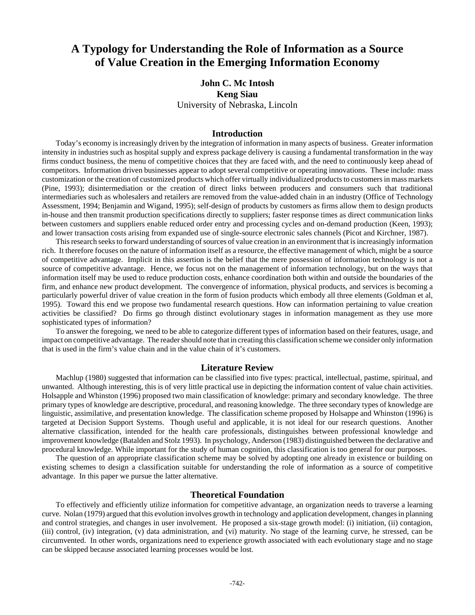## **A Typology for Understanding the Role of Information as a Source of Value Creation in the Emerging Information Economy**

### **John C. Mc Intosh Keng Siau** University of Nebraska, Lincoln

#### **Introduction**

Today's economy is increasingly driven by the integration of information in many aspects of business. Greater information intensity in industries such as hospital supply and express package delivery is causing a fundamental transformation in the way firms conduct business, the menu of competitive choices that they are faced with, and the need to continuously keep ahead of competitors. Information driven businesses appear to adopt several competitive or operating innovations. These include: mass customization or the creation of customized products which offer virtually individualized products to customers in mass markets (Pine, 1993); disintermediation or the creation of direct links between producers and consumers such that traditional intermediaries such as wholesalers and retailers are removed from the value-added chain in an industry (Office of Technology Assessment, 1994; Benjamin and Wigand, 1995); self-design of products by customers as firms allow them to design products in-house and then transmit production specifications directly to suppliers; faster response times as direct communication links between customers and suppliers enable reduced order entry and processing cycles and on-demand production (Keen, 1993); and lower transaction costs arising from expanded use of single-source electronic sales channels (Picot and Kirchner, 1987).

This research seeks to forward understanding of sources of value creation in an environment that is increasingly information rich. It therefore focuses on the nature of information itself as a resource, the effective management of which, might be a source of competitive advantage. Implicit in this assertion is the belief that the mere possession of information technology is not a source of competitive advantage. Hence, we focus not on the management of information technology, but on the ways that information itself may be used to reduce production costs, enhance coordination both within and outside the boundaries of the firm, and enhance new product development. The convergence of information, physical products, and services is becoming a particularly powerful driver of value creation in the form of fusion products which embody all three elements (Goldman et al, 1995). Toward this end we propose two fundamental research questions. How can information pertaining to value creation activities be classified? Do firms go through distinct evolutionary stages in information management as they use more sophisticated types of information?

To answer the foregoing, we need to be able to categorize different types of information based on their features, usage, and impact on competitive advantage. The reader should note that in creating this classification scheme we consider only information that is used in the firm's value chain and in the value chain of it's customers.

#### **Literature Review**

Machlup (1980) suggested that information can be classified into five types: practical, intellectual, pastime, spiritual, and unwanted. Although interesting, this is of very little practical use in depicting the information content of value chain activities. Holsapple and Whinston (1996) proposed two main classification of knowledge: primary and secondary knowledge. The three primary types of knowledge are descriptive, procedural, and reasoning knowledge. The three secondary types of knowledge are linguistic, assimilative, and presentation knowledge. The classification scheme proposed by Holsappe and Whinston (1996) is targeted at Decision Support Systems. Though useful and applicable, it is not ideal for our research questions. Another alternative classification, intended for the health care professionals, distinguishes between professional knowledge and improvement knowledge (Batalden and Stolz 1993). In psychology, Anderson (1983) distinguished between the declarative and procedural knowledge. While important for the study of human cognition, this classification is too general for our purposes.

The question of an appropriate classification scheme may be solved by adopting one already in existence or building on existing schemes to design a classification suitable for understanding the role of information as a source of competitive advantage. In this paper we pursue the latter alternative.

#### **Theoretical Foundation**

To effectively and efficiently utilize information for competitive advantage, an organization needs to traverse a learning curve. Nolan (1979) argued that this evolution involves growth in technology and application development, changes in planning and control strategies, and changes in user involvement. He proposed a six-stage growth model: (i) initiation, (ii) contagion, (iii) control, (iv) integration, (v) data administration, and (vi) maturity. No stage of the learning curve, he stressed, can be circumvented. In other words, organizations need to experience growth associated with each evolutionary stage and no stage can be skipped because associated learning processes would be lost.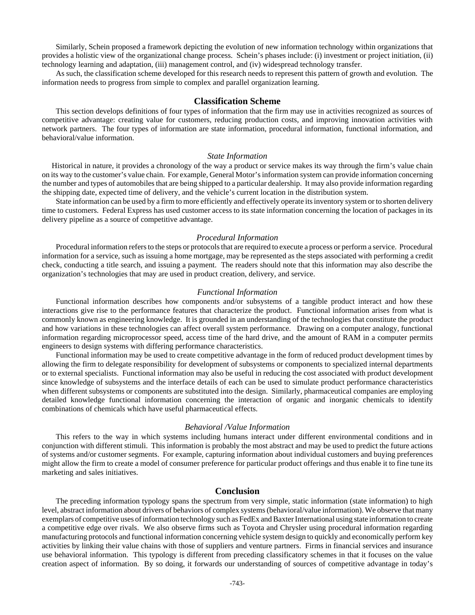Similarly, Schein proposed a framework depicting the evolution of new information technology within organizations that provides a holistic view of the organizational change process. Schein's phases include: (i) investment or project initiation, (ii) technology learning and adaptation, (iii) management control, and (iv) widespread technology transfer.

As such, the classification scheme developed for this research needs to represent this pattern of growth and evolution. The information needs to progress from simple to complex and parallel organization learning.

#### **Classification Scheme**

This section develops definitions of four types of information that the firm may use in activities recognized as sources of competitive advantage: creating value for customers, reducing production costs, and improving innovation activities with network partners. The four types of information are state information, procedural information, functional information, and behavioral/value information.

#### *State Information*

 Historical in nature, it provides a chronology of the way a product or service makes its way through the firm's value chain on its way to the customer's value chain. For example, General Motor's information system can provide information concerning the number and types of automobiles that are being shipped to a particular dealership. It may also provide information regarding the shipping date, expected time of delivery, and the vehicle's current location in the distribution system.

State information can be used by a firm to more efficiently and effectively operate its inventory system or to shorten delivery time to customers. Federal Express has used customer access to its state information concerning the location of packages in its delivery pipeline as a source of competitive advantage.

#### *Procedural Information*

Procedural information refers to the steps or protocols that are required to execute a process or perform a service. Procedural information for a service, such as issuing a home mortgage, may be represented as the steps associated with performing a credit check, conducting a title search, and issuing a payment. The readers should note that this information may also describe the organization's technologies that may are used in product creation, delivery, and service.

#### *Functional Information*

Functional information describes how components and/or subsystems of a tangible product interact and how these interactions give rise to the performance features that characterize the product. Functional information arises from what is commonly known as engineering knowledge. It is grounded in an understanding of the technologies that constitute the product and how variations in these technologies can affect overall system performance. Drawing on a computer analogy, functional information regarding microprocessor speed, access time of the hard drive, and the amount of RAM in a computer permits engineers to design systems with differing performance characteristics.

Functional information may be used to create competitive advantage in the form of reduced product development times by allowing the firm to delegate responsibility for development of subsystems or components to specialized internal departments or to external specialists. Functional information may also be useful in reducing the cost associated with product development since knowledge of subsystems and the interface details of each can be used to simulate product performance characteristics when different subsystems or components are substituted into the design. Similarly, pharmaceutical companies are employing detailed knowledge functional information concerning the interaction of organic and inorganic chemicals to identify combinations of chemicals which have useful pharmaceutical effects.

#### *Behavioral /Value Information*

This refers to the way in which systems including humans interact under different environmental conditions and in conjunction with different stimuli. This information is probably the most abstract and may be used to predict the future actions of systems and/or customer segments. For example, capturing information about individual customers and buying preferences might allow the firm to create a model of consumer preference for particular product offerings and thus enable it to fine tune its marketing and sales initiatives.

#### **Conclusion**

The preceding information typology spans the spectrum from very simple, static information (state information) to high level, abstract information about drivers of behaviors of complex systems (behavioral/value information). We observe that many exemplars of competitive uses of information technology such as FedEx and Baxter International using state information to create a competitive edge over rivals. We also observe firms such as Toyota and Chrysler using procedural information regarding manufacturing protocols and functional information concerning vehicle system design to quickly and economically perform key activities by linking their value chains with those of suppliers and venture partners. Firms in financial services and insurance use behavioral information. This typology is different from preceding classificatory schemes in that it focuses on the value creation aspect of information. By so doing, it forwards our understanding of sources of competitive advantage in today's